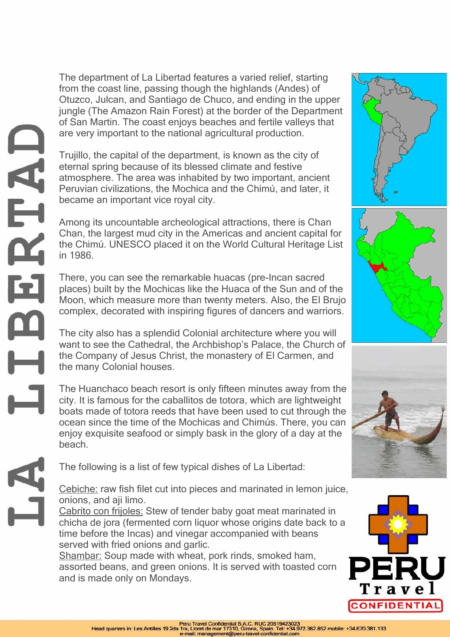The department of La Libertad features a varied relief, starting from the coast line, passing though the highlands (Andes) of Otuzco, Julcan, and Santiago de Chuco, and ending in the upper jungle (The Amazon Rain Forest) at the border of the Department of San Martin. The coast enjoys beaches and fertile valleys that are very important to the national agricultural production.

Trujillo, the capital of the department, is known as the city of eternal spring because of its blessed climate and festive atmosphere. The area was inhabited by two important, ancient Peruvian civilizations, the Mochica and the Chimú, and later, it became an important vice royal city.

Among its uncountable archeological attractions, there is Chan Chan, the largest mud city in the Americas and ancient capital for the Chimú. UNESCO placed it on the World Cultural Heritage List in 1986.

There, you can see the remarkable huacas (pre-Incan sacred places) built by the Mochicas like the Huaca of the Sun and of the Moon, which measure more than twenty meters. Also, the El Brujo complex, decorated with inspiring figures of dancers and warriors.

The city also has a splendid Colonial architecture where you will want to see the Cathedral, the Archbishop's Palace, the Church of the Company of Jesus Christ, the monastery of El Carmen, and the many Colonial houses.

The Huanchaco beach resort is only fifteen minutes away from the city. It is famous for the caballitos de totora, which are lightweight boats made of totora reeds that have been used to cut through the ocean since the time of the Mochicas and Chimús. There, you can enjoy exquisite seafood or simply bask in the glory of a day at the beach.

The following is a list of few typical dishes of La Libertad:

Cebiche: raw fish filet cut into pieces and marinated in lemon juice, onions, and aji limo.

Cabrito con frijoles: Stew of tender baby goat meat marinated in chicha de jora (fermented corn liquor whose origins date back to a time before the Incas) and vinegar accompanied with beans served with fried onions and garlic.

Shambar: Soup made with wheat, pork rinds, smoked ham, assorted beans, and green onions. It is served with toasted corn and is made only on Mondays.